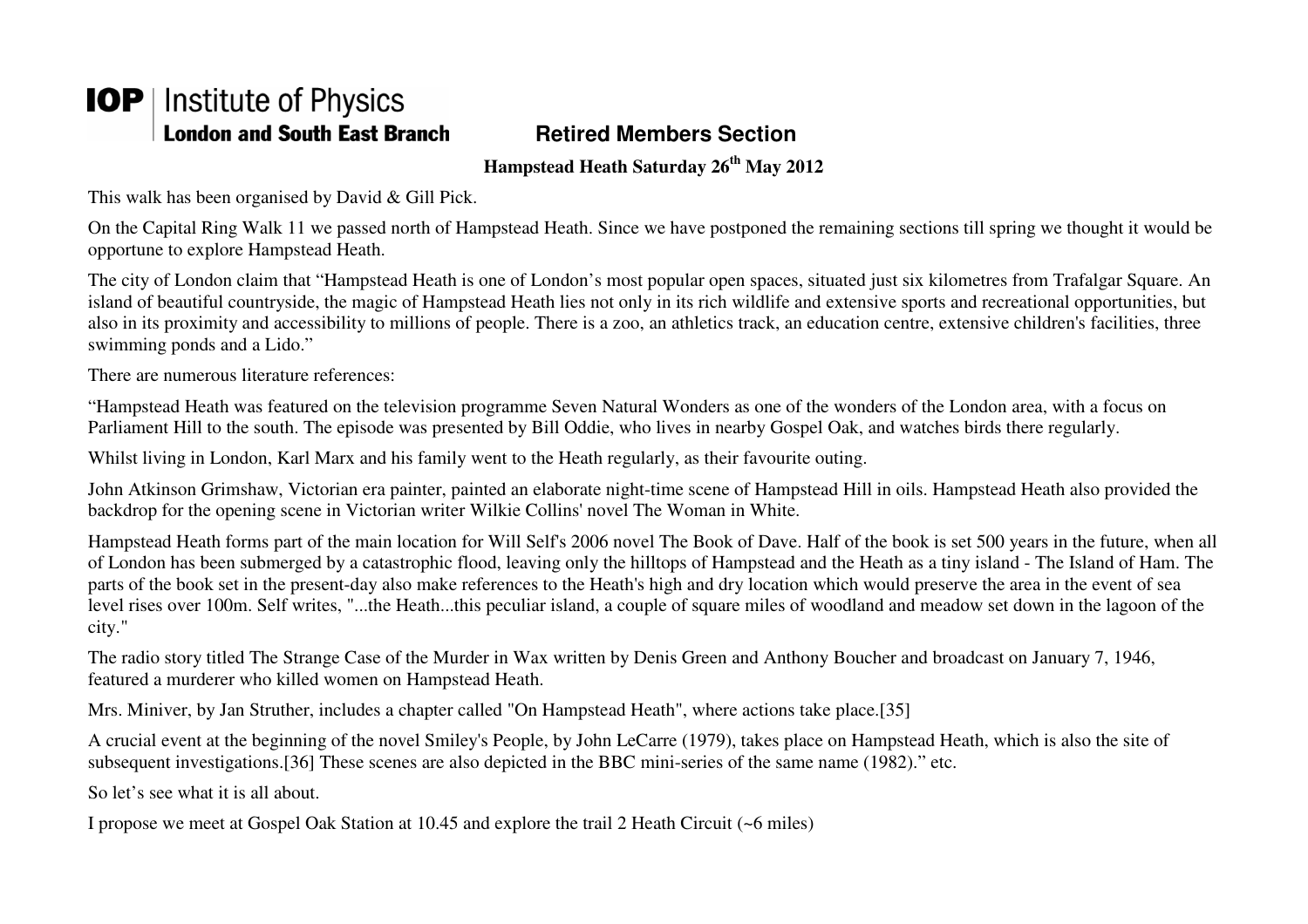## **IOP** | Institute of Physics **London and South East Branch**

## **Retired Members Section**

**Hampstead Heath Saturday 26th May 2012** 

This walk has been organised by David & Gill Pick.

On the Capital Ring Walk 11 we passed north of Hampstead Heath. Since we have postponed the remaining sections till spring we thought it would be opportune to explore Hampstead Heath.

The city of London claim that "Hampstead Heath is one of London's most popular open spaces, situated just six kilometres from Trafalgar Square. An island of beautiful countryside, the magic of Hampstead Heath lies not only in its rich wildlife and extensive sports and recreational opportunities, but also in its proximity and accessibility to millions of people. There is a zoo, an athletics track, an education centre, extensive children's facilities, three swimming ponds and a Lido."

There are numerous literature references:

"Hampstead Heath was featured on the television programme Seven Natural Wonders as one of the wonders of the London area, with a focus on Parliament Hill to the south. The episode was presented by Bill Oddie, who lives in nearby Gospel Oak, and watches birds there regularly.

Whilst living in London, Karl Marx and his family went to the Heath regularly, as their favourite outing.

John Atkinson Grimshaw, Victorian era painter, painted an elaborate night-time scene of Hampstead Hill in oils. Hampstead Heath also provided the backdrop for the opening scene in Victorian writer Wilkie Collins' novel The Woman in White.

Hampstead Heath forms part of the main location for Will Self's 2006 novel The Book of Dave. Half of the book is set 500 years in the future, when all of London has been submerged by a catastrophic flood, leaving only the hilltops of Hampstead and the Heath as a tiny island - The Island of Ham. The parts of the book set in the present-day also make references to the Heath's high and dry location which would preserve the area in the event of sea level rises over 100m. Self writes, "...the Heath...this peculiar island, a couple of square miles of woodland and meadow set down in the lagoon of the city."

The radio story titled The Strange Case of the Murder in Wax written by Denis Green and Anthony Boucher and broadcast on January 7, 1946, featured a murderer who killed women on Hampstead Heath.

Mrs. Miniver, by Jan Struther, includes a chapter called "On Hampstead Heath", where actions take place.[35]

A crucial event at the beginning of the novel Smiley's People, by John LeCarre (1979), takes place on Hampstead Heath, which is also the site of subsequent investigations.[36] These scenes are also depicted in the BBC mini-series of the same name (1982)." etc.

So let's see what it is all about.

I propose we meet at Gospel Oak Station at 10.45 and explore the trail 2 Heath Circuit (~6 miles)